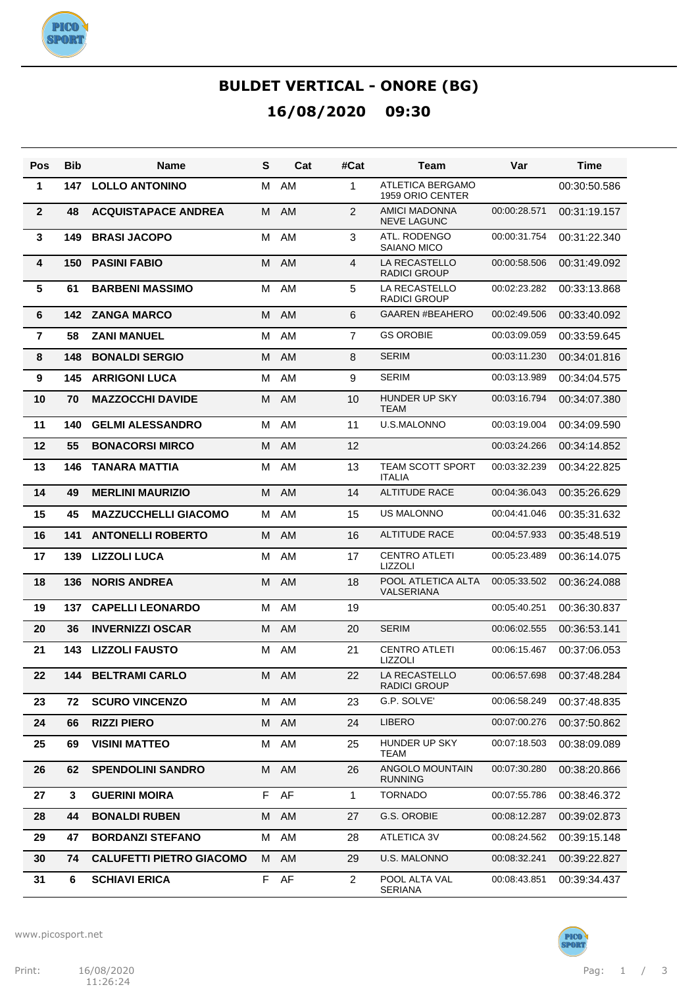

| Pos             | <b>Bib</b> | Name                            | S | Cat       | #Cat           | Team                                        | Var          | Time         |
|-----------------|------------|---------------------------------|---|-----------|----------------|---------------------------------------------|--------------|--------------|
| 1               | 147        | <b>LOLLO ANTONINO</b>           | м | AM        | 1              | <b>ATLETICA BERGAMO</b><br>1959 ORIO CENTER |              | 00:30:50.586 |
| $\mathbf{2}$    | 48         | <b>ACQUISTAPACE ANDREA</b>      | M | AM        | 2              | <b>AMICI MADONNA</b><br><b>NEVE LAGUNC</b>  | 00:00:28.571 | 00:31:19.157 |
| 3               | 149        | <b>BRASI JACOPO</b>             | М | AM        | 3              | ATL. RODENGO<br>SAIANO MICO                 | 00:00:31.754 | 00:31:22.340 |
| 4               | 150        | <b>PASINI FABIO</b>             | M | AM        | 4              | LA RECASTELLO<br><b>RADICI GROUP</b>        | 00:00:58.506 | 00:31:49.092 |
| $5\phantom{.0}$ | 61         | <b>BARBENI MASSIMO</b>          | М | AM        | 5              | LA RECASTELLO<br><b>RADICI GROUP</b>        | 00:02:23.282 | 00:33:13.868 |
| $6\phantom{1}$  | 142        | <b>ZANGA MARCO</b>              | M | AM        | 6              | <b>GAAREN #BEAHERO</b>                      | 00:02:49.506 | 00:33:40.092 |
| $\overline{7}$  | 58         | <b>ZANI MANUEL</b>              | М | AM        | $\overline{7}$ | <b>GS OROBIE</b>                            | 00:03:09.059 | 00:33:59.645 |
| 8               | 148        | <b>BONALDI SERGIO</b>           | M | AM        | 8              | <b>SERIM</b>                                | 00:03:11.230 | 00:34:01.816 |
| 9               | 145        | <b>ARRIGONI LUCA</b>            | M | AM        | 9              | <b>SERIM</b>                                | 00:03:13.989 | 00:34:04.575 |
| 10              | 70         | <b>MAZZOCCHI DAVIDE</b>         | M | AM        | 10             | <b>HUNDER UP SKY</b><br><b>TEAM</b>         | 00:03:16.794 | 00:34:07.380 |
| 11              | 140        | <b>GELMI ALESSANDRO</b>         | м | AM        | 11             | U.S.MALONNO                                 | 00:03:19.004 | 00:34:09.590 |
| 12              | 55         | <b>BONACORSI MIRCO</b>          | M | AM        | 12             |                                             | 00:03:24.266 | 00:34:14.852 |
| 13              | 146        | <b>TANARA MATTIA</b>            | м | AM        | 13             | TEAM SCOTT SPORT<br><b>ITALIA</b>           | 00:03:32.239 | 00:34:22.825 |
| 14              | 49         | <b>MERLINI MAURIZIO</b>         | M | <b>AM</b> | 14             | <b>ALTITUDE RACE</b>                        | 00:04:36.043 | 00:35:26.629 |
| 15              | 45         | <b>MAZZUCCHELLI GIACOMO</b>     | м | AM        | 15             | <b>US MALONNO</b>                           | 00:04:41.046 | 00:35:31.632 |
| 16              | 141        | <b>ANTONELLI ROBERTO</b>        | M | AM        | 16             | <b>ALTITUDE RACE</b>                        | 00:04:57.933 | 00:35:48.519 |
| 17              | 139        | <b>LIZZOLI LUCA</b>             | M | AM        | 17             | <b>CENTRO ATLETI</b><br><b>LIZZOLI</b>      | 00:05:23.489 | 00:36:14.075 |
| 18              | 136        | <b>NORIS ANDREA</b>             | M | AM        | 18             | POOL ATLETICA ALTA<br>VALSERIANA            | 00:05:33.502 | 00:36:24.088 |
| 19              | 137        | <b>CAPELLI LEONARDO</b>         | м | AM        | 19             |                                             | 00:05:40.251 | 00:36:30.837 |
| 20              | 36         | <b>INVERNIZZI OSCAR</b>         | M | <b>AM</b> | 20             | <b>SERIM</b>                                | 00:06:02.555 | 00:36:53.141 |
| 21              | 143        | <b>LIZZOLI FAUSTO</b>           | м | AM        | 21             | <b>CENTRO ATLETI</b><br>LIZZOLI             | 00:06:15.467 | 00:37:06.053 |
| 22              | 144        | <b>BELTRAMI CARLO</b>           |   | M AM      | 22             | LA RECASTELLO<br><b>RADICI GROUP</b>        | 00:06:57.698 | 00:37:48.284 |
| 23              | 72         | <b>SCURO VINCENZO</b>           | M | AM        | 23             | G.P. SOLVE'                                 | 00:06:58.249 | 00:37:48.835 |
| 24              | 66         | <b>RIZZI PIERO</b>              | M | AM        | 24             | LIBERO                                      | 00:07:00.276 | 00:37:50.862 |
| 25              | 69         | <b>VISINI MATTEO</b>            | м | AM        | 25             | HUNDER UP SKY<br>TEAM                       | 00:07:18.503 | 00:38:09.089 |
| 26              | 62         | <b>SPENDOLINI SANDRO</b>        |   | M AM      | 26             | ANGOLO MOUNTAIN<br><b>RUNNING</b>           | 00:07:30.280 | 00:38:20.866 |
| 27              | 3          | <b>GUERINI MOIRA</b>            |   | F AF      | 1              | <b>TORNADO</b>                              | 00:07:55.786 | 00:38:46.372 |
| 28              | 44         | <b>BONALDI RUBEN</b>            |   | M AM      | 27             | G.S. OROBIE                                 | 00:08:12.287 | 00:39:02.873 |
| 29              | 47         | <b>BORDANZI STEFANO</b>         |   | M AM      | 28             | ATLETICA 3V                                 | 00:08:24.562 | 00:39:15.148 |
| 30              | 74         | <b>CALUFETTI PIETRO GIACOMO</b> |   | M AM      | 29             | U.S. MALONNO                                | 00:08:32.241 | 00:39:22.827 |
| 31              | 6          | <b>SCHIAVI ERICA</b>            |   | F AF      | $\overline{2}$ | POOL ALTA VAL<br>SERIANA                    | 00:08:43.851 | 00:39:34.437 |

www.picosport.net

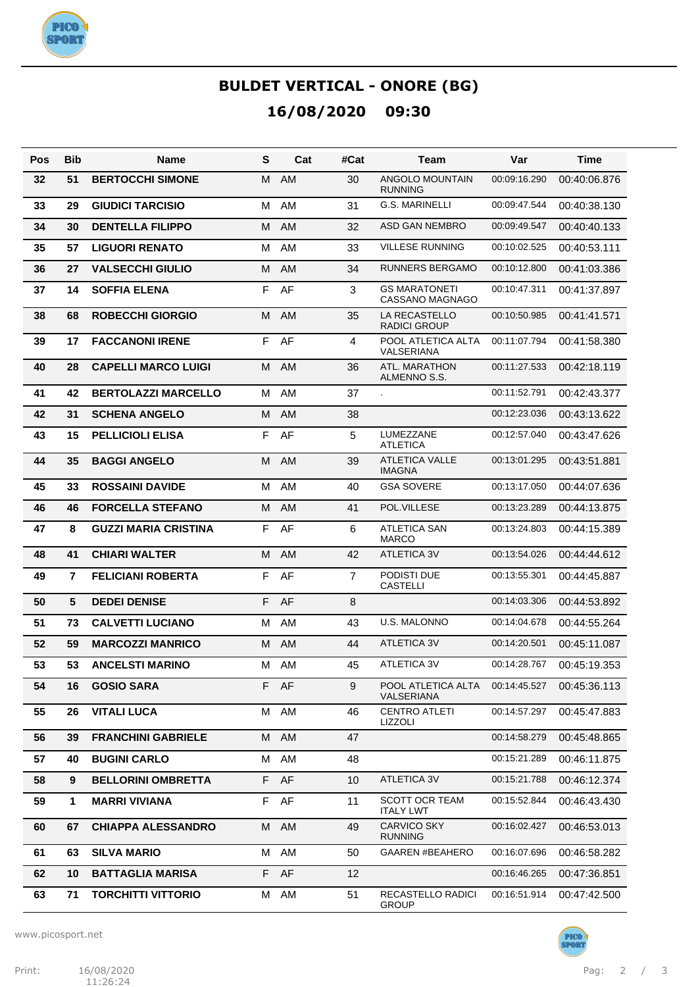

| Pos | <b>Bib</b>     | Name                        | S  | Cat  | #Cat           | Team                                           | Var          | Time         |
|-----|----------------|-----------------------------|----|------|----------------|------------------------------------------------|--------------|--------------|
| 32  | 51             | <b>BERTOCCHI SIMONE</b>     | М  | AM   | 30             | ANGOLO MOUNTAIN<br><b>RUNNING</b>              | 00:09:16.290 | 00:40:06.876 |
| 33  | 29             | <b>GIUDICI TARCISIO</b>     | M  | AM   | 31             | <b>G.S. MARINELLI</b>                          | 00:09:47.544 | 00:40:38.130 |
| 34  | 30             | <b>DENTELLA FILIPPO</b>     | M  | AM   | 32             | ASD GAN NEMBRO                                 | 00:09:49.547 | 00:40:40.133 |
| 35  | 57             | <b>LIGUORI RENATO</b>       | M  | AM   | 33             | <b>VILLESE RUNNING</b>                         | 00:10:02.525 | 00:40:53.111 |
| 36  | 27             | <b>VALSECCHI GIULIO</b>     | M  | AM   | 34             | <b>RUNNERS BERGAMO</b>                         | 00:10:12.800 | 00:41:03.386 |
| 37  | 14             | <b>SOFFIA ELENA</b>         | F  | AF   | 3              | <b>GS MARATONETI</b><br><b>CASSANO MAGNAGO</b> | 00:10:47.311 | 00:41:37.897 |
| 38  | 68             | <b>ROBECCHI GIORGIO</b>     | M  | AM   | 35             | <b>LA RECASTELLO</b><br><b>RADICI GROUP</b>    | 00:10:50.985 | 00:41:41.571 |
| 39  | 17             | <b>FACCANONI IRENE</b>      | F  | AF   | 4              | POOL ATLETICA ALTA<br>VALSERIANA               | 00:11:07.794 | 00:41:58.380 |
| 40  | 28             | <b>CAPELLI MARCO LUIGI</b>  | М  | AM   | 36             | ATL. MARATHON<br>ALMENNO S.S.                  | 00:11:27.533 | 00:42:18.119 |
| 41  | 42             | <b>BERTOLAZZI MARCELLO</b>  | M  | AM   | 37             | $\overline{a}$                                 | 00:11:52.791 | 00:42:43.377 |
| 42  | 31             | <b>SCHENA ANGELO</b>        | M  | AM   | 38             |                                                | 00:12:23.036 | 00:43:13.622 |
| 43  | 15             | <b>PELLICIOLI ELISA</b>     | F  | AF   | 5              | LUMEZZANE<br><b>ATLETICA</b>                   | 00:12:57.040 | 00:43:47.626 |
| 44  | 35             | <b>BAGGI ANGELO</b>         | М  | AM   | 39             | <b>ATLETICA VALLE</b><br><b>IMAGNA</b>         | 00:13:01.295 | 00:43:51.881 |
| 45  | 33             | <b>ROSSAINI DAVIDE</b>      | M  | AM   | 40             | <b>GSA SOVERE</b>                              | 00:13:17.050 | 00:44:07.636 |
| 46  | 46             | <b>FORCELLA STEFANO</b>     | м  | AM   | 41             | POL.VILLESE                                    | 00:13:23.289 | 00:44:13.875 |
| 47  | 8              | <b>GUZZI MARIA CRISTINA</b> | F  | AF   | 6              | <b>ATLETICA SAN</b><br><b>MARCO</b>            | 00:13:24.803 | 00:44:15.389 |
| 48  | 41             | <b>CHIARI WALTER</b>        | M  | AM   | 42             | <b>ATLETICA 3V</b>                             | 00:13:54.026 | 00:44:44.612 |
| 49  | $\overline{7}$ | <b>FELICIANI ROBERTA</b>    | F  | AF   | $\overline{7}$ | PODISTI DUE<br><b>CASTELLI</b>                 | 00:13:55.301 | 00:44:45.887 |
| 50  | 5              | <b>DEDEI DENISE</b>         | F  | AF   | 8              |                                                | 00:14:03.306 | 00:44:53.892 |
| 51  | 73             | <b>CALVETTI LUCIANO</b>     | м  | AM   | 43             | U.S. MALONNO                                   | 00:14:04.678 | 00:44:55.264 |
| 52  | 59             | <b>MARCOZZI MANRICO</b>     | м  | AM   | 44             | <b>ATLETICA 3V</b>                             | 00:14:20.501 | 00:45:11.087 |
| 53  | 53             | <b>ANCELSTI MARINO</b>      | м  | AM   | 45             | <b>ATLETICA 3V</b>                             | 00:14:28.767 | 00:45:19.353 |
| 54  | 16             | <b>GOSIO SARA</b>           |    | F AF | 9              | POOL ATLETICA ALTA<br>VALSERIANA               | 00:14:45.527 | 00:45:36.113 |
| 55  | 26             | <b>VITALI LUCA</b>          | м  | AM   | 46             | <b>CENTRO ATLETI</b><br>LIZZOLI                | 00:14:57.297 | 00:45:47.883 |
| 56  | 39             | <b>FRANCHINI GABRIELE</b>   | M  | AM   | 47             |                                                | 00:14:58.279 | 00:45:48.865 |
| 57  | 40             | <b>BUGINI CARLO</b>         | М  | AM   | 48             |                                                | 00:15:21.289 | 00:46:11.875 |
| 58  | 9              | <b>BELLORINI OMBRETTA</b>   | F. | AF   | 10             | <b>ATLETICA 3V</b>                             | 00:15:21.788 | 00:46:12.374 |
| 59  | 1              | <b>MARRI VIVIANA</b>        | F  | AF   | 11             | <b>SCOTT OCR TEAM</b><br><b>ITALY LWT</b>      | 00:15:52.844 | 00:46:43.430 |
| 60  | 67             | <b>CHIAPPA ALESSANDRO</b>   |    | M AM | 49             | <b>CARVICO SKY</b><br><b>RUNNING</b>           | 00:16:02.427 | 00:46:53.013 |
| 61  | 63             | <b>SILVA MARIO</b>          |    | M AM | 50             | <b>GAAREN #BEAHERO</b>                         | 00:16:07.696 | 00:46:58.282 |
| 62  | 10             | <b>BATTAGLIA MARISA</b>     |    | F AF | $12 \,$        |                                                | 00:16:46.265 | 00:47:36.851 |
| 63  | 71             | <b>TORCHITTI VITTORIO</b>   | м  | AM   | 51             | RECASTELLO RADICI<br><b>GROUP</b>              | 00:16:51.914 | 00:47:42.500 |

www.picosport.net



PICO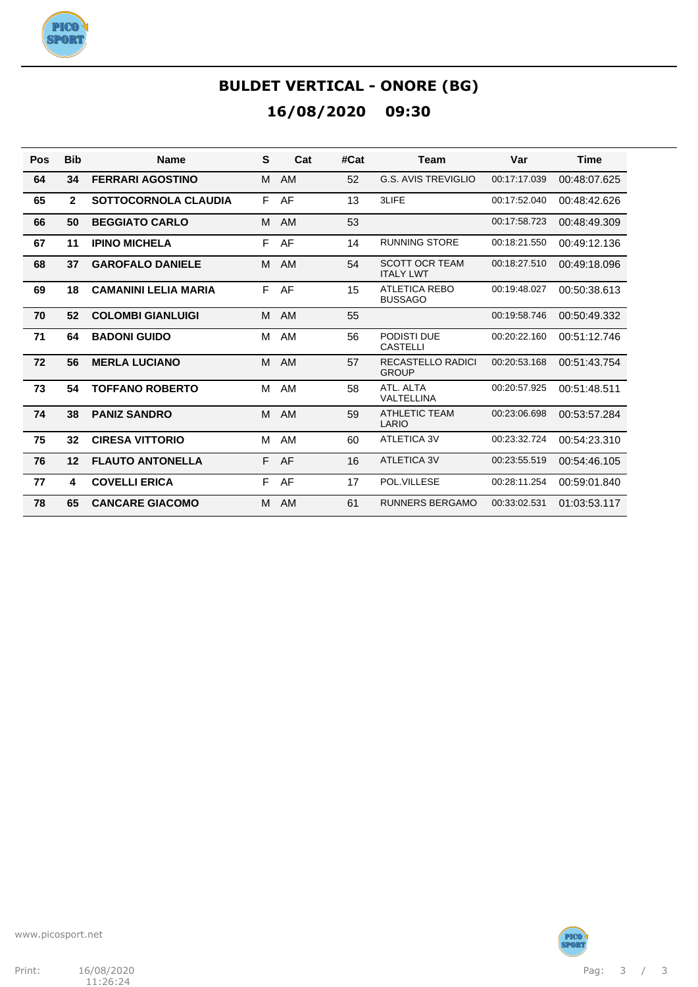

| Pos | <b>Bib</b>     | <b>Name</b>                 | S | Cat       | #Cat | <b>Team</b>                               | Var          | <b>Time</b>  |
|-----|----------------|-----------------------------|---|-----------|------|-------------------------------------------|--------------|--------------|
| 64  | 34             | <b>FERRARI AGOSTINO</b>     | M | <b>AM</b> | 52   | <b>G.S. AVIS TREVIGLIO</b>                | 00:17:17.039 | 00:48:07.625 |
| 65  | $\overline{2}$ | <b>SOTTOCORNOLA CLAUDIA</b> | E | AF        | 13   | 3LIFE                                     | 00:17:52.040 | 00:48:42.626 |
| 66  | 50             | <b>BEGGIATO CARLO</b>       | м | AM        | 53   |                                           | 00:17:58.723 | 00:48:49.309 |
| 67  | 11             | <b>IPINO MICHELA</b>        | F | AF        | 14   | <b>RUNNING STORE</b>                      | 00:18:21.550 | 00:49:12.136 |
| 68  | 37             | <b>GAROFALO DANIELE</b>     | м | AM        | 54   | <b>SCOTT OCR TEAM</b><br><b>ITALY LWT</b> | 00:18:27.510 | 00:49:18.096 |
| 69  | 18             | <b>CAMANINI LELIA MARIA</b> | F | AF        | 15   | <b>ATLETICA REBO</b><br><b>BUSSAGO</b>    | 00:19:48.027 | 00:50:38.613 |
| 70  | 52             | <b>COLOMBI GIANLUIGI</b>    | M | AM        | 55   |                                           | 00:19:58.746 | 00:50:49.332 |
| 71  | 64             | <b>BADONI GUIDO</b>         | M | AM        | 56   | PODISTI DUE<br><b>CASTELLI</b>            | 00:20:22.160 | 00:51:12.746 |
| 72  | 56             | <b>MERLA LUCIANO</b>        | M | AM        | 57   | <b>RECASTELLO RADICI</b><br><b>GROUP</b>  | 00:20:53.168 | 00:51:43.754 |
| 73  | 54             | <b>TOFFANO ROBERTO</b>      | м | AM        | 58   | ATL, ALTA<br>VALTELLINA                   | 00:20:57.925 | 00:51:48.511 |
| 74  | 38             | <b>PANIZ SANDRO</b>         | M | AM        | 59   | <b>ATHLETIC TEAM</b><br>LARIO             | 00:23:06.698 | 00:53:57.284 |
| 75  | 32             | <b>CIRESA VITTORIO</b>      | м | AM        | 60   | ATLETICA 3V                               | 00:23:32.724 | 00:54:23.310 |
| 76  | 12             | <b>FLAUTO ANTONELLA</b>     | E | AF        | 16   | <b>ATLETICA 3V</b>                        | 00:23:55.519 | 00:54:46.105 |
| 77  | 4              | <b>COVELLI ERICA</b>        | F | AF        | 17   | POL.VILLESE                               | 00:28:11.254 | 00:59:01.840 |
| 78  | 65             | <b>CANCARE GIACOMO</b>      | M | AM        | 61   | <b>RUNNERS BERGAMO</b>                    | 00:33:02.531 | 01:03:53.117 |

www.picosport.net



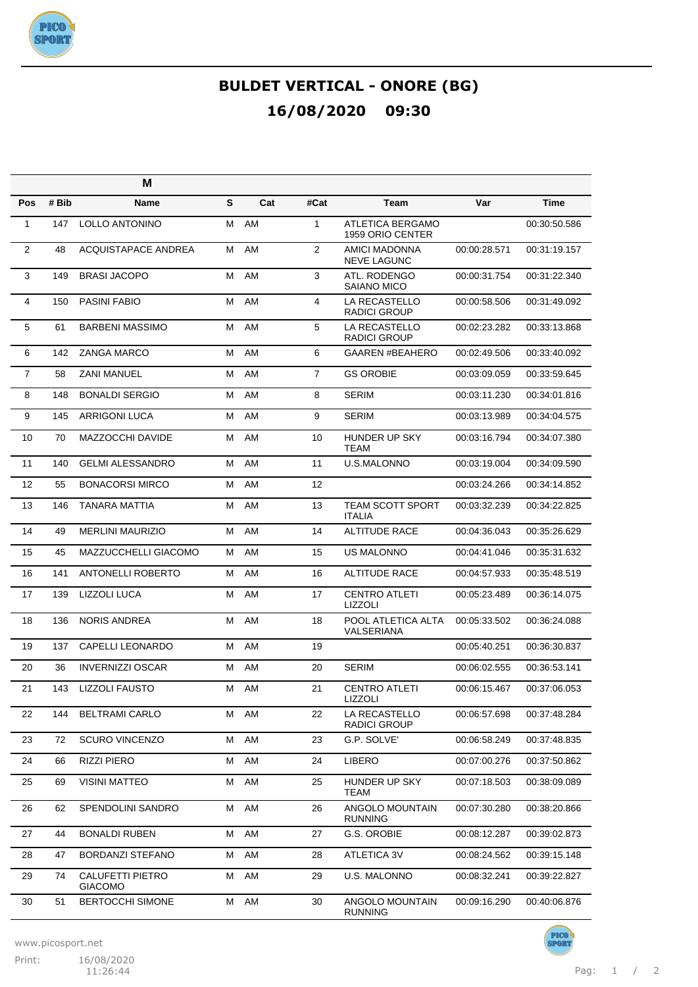

|                |       | M                                  |   |     |                |                                            |              |              |
|----------------|-------|------------------------------------|---|-----|----------------|--------------------------------------------|--------------|--------------|
| Pos            | # Bib | Name                               | S | Cat | #Cat           | <b>Team</b>                                | Var          | <b>Time</b>  |
| $\mathbf{1}$   | 147   | <b>LOLLO ANTONINO</b>              | М | AM  | $\mathbf{1}$   | ATLETICA BERGAMO<br>1959 ORIO CENTER       |              | 00:30:50.586 |
| $\overline{2}$ | 48    | <b>ACQUISTAPACE ANDREA</b>         | М | AM  | 2              | <b>AMICI MADONNA</b><br><b>NEVE LAGUNC</b> | 00:00:28.571 | 00:31:19.157 |
| 3              | 149   | <b>BRASI JACOPO</b>                | м | AM  | 3              | ATL. RODENGO<br>SAIANO MICO                | 00:00:31.754 | 00:31:22.340 |
| $\overline{4}$ | 150   | <b>PASINI FABIO</b>                | М | AM  | 4              | LA RECASTELLO<br><b>RADICI GROUP</b>       | 00:00:58.506 | 00:31:49.092 |
| 5              | 61    | <b>BARBENI MASSIMO</b>             | м | AM  | 5              | LA RECASTELLO<br><b>RADICI GROUP</b>       | 00:02:23.282 | 00:33:13.868 |
| 6              | 142   | <b>ZANGA MARCO</b>                 | м | AM  | 6              | <b>GAAREN #BEAHERO</b>                     | 00:02:49.506 | 00:33:40.092 |
| $\overline{7}$ | 58    | <b>ZANI MANUEL</b>                 | м | AM  | $\overline{7}$ | <b>GS OROBIE</b>                           | 00:03:09.059 | 00:33:59.645 |
| 8              | 148   | <b>BONALDI SERGIO</b>              | м | AM  | 8              | <b>SERIM</b>                               | 00:03:11.230 | 00:34:01.816 |
| 9              | 145   | <b>ARRIGONI LUCA</b>               | м | AM  | 9              | <b>SERIM</b>                               | 00:03:13.989 | 00:34:04.575 |
| 10             | 70    | <b>MAZZOCCHI DAVIDE</b>            | М | AM  | 10             | HUNDER UP SKY<br><b>TEAM</b>               | 00:03:16.794 | 00:34:07.380 |
| 11             | 140   | <b>GELMI ALESSANDRO</b>            | м | AM  | 11             | U.S.MALONNO                                | 00:03:19.004 | 00:34:09.590 |
| 12             | 55    | <b>BONACORSI MIRCO</b>             | м | AM  | 12             |                                            | 00:03:24.266 | 00:34:14.852 |
| 13             | 146   | TANARA MATTIA                      | м | AM  | 13             | TEAM SCOTT SPORT<br><b>ITALIA</b>          | 00:03:32.239 | 00:34:22.825 |
| 14             | 49    | <b>MERLINI MAURIZIO</b>            | м | AM  | 14             | <b>ALTITUDE RACE</b>                       | 00:04:36.043 | 00:35:26.629 |
| 15             | 45    | MAZZUCCHELLI GIACOMO               | м | AM  | 15             | <b>US MALONNO</b>                          | 00:04:41.046 | 00:35:31.632 |
| 16             | 141   | ANTONELLI ROBERTO                  | м | AM  | 16             | <b>ALTITUDE RACE</b>                       | 00:04:57.933 | 00:35:48.519 |
| 17             | 139   | LIZZOLI LUCA                       | М | AM  | 17             | <b>CENTRO ATLETI</b><br><b>LIZZOLI</b>     | 00:05:23.489 | 00:36:14.075 |
| 18             | 136   | <b>NORIS ANDREA</b>                | м | AM  | 18             | POOL ATLETICA ALTA<br>VALSERIANA           | 00:05:33.502 | 00:36:24.088 |
| 19             | 137   | <b>CAPELLI LEONARDO</b>            | м | AM  | 19             |                                            | 00:05:40.251 | 00:36:30.837 |
| 20             | 36    | <b>INVERNIZZI OSCAR</b>            | м | AM  | 20             | <b>SERIM</b>                               | 00:06:02.555 | 00:36:53.141 |
| 21             | 143   | <b>LIZZOLI FAUSTO</b>              | м | AM  | 21             | <b>CENTRO ATLETI</b><br>LIZZOLI            | 00:06:15.467 | 00:37:06.053 |
| 22             | 144   | <b>BELTRAMI CARLO</b>              | м | AM  | 22             | LA RECASTELLO<br><b>RADICI GROUP</b>       | 00:06:57.698 | 00:37:48.284 |
| 23             | 72    | <b>SCURO VINCENZO</b>              | м | AM  | 23             | G.P. SOLVE'                                | 00:06:58.249 | 00:37:48.835 |
| 24             | 66    | <b>RIZZI PIERO</b>                 | М | AM  | 24             | <b>LIBERO</b>                              | 00:07:00.276 | 00:37:50.862 |
| 25             | 69    | <b>VISINI MATTEO</b>               | М | AM  | 25             | HUNDER UP SKY<br>TEAM                      | 00:07:18.503 | 00:38:09.089 |
| 26             | 62    | SPENDOLINI SANDRO                  | М | AM  | 26             | ANGOLO MOUNTAIN<br><b>RUNNING</b>          | 00:07:30.280 | 00:38:20.866 |
| 27             | 44    | <b>BONALDI RUBEN</b>               | М | AM  | 27             | G.S. OROBIE                                | 00:08:12.287 | 00:39:02.873 |
| 28             | 47    | <b>BORDANZI STEFANO</b>            | М | AM  | 28             | ATLETICA 3V                                | 00:08:24.562 | 00:39:15.148 |
| 29             | 74    | CALUFETTI PIETRO<br><b>GIACOMO</b> | М | AM  | 29             | U.S. MALONNO                               | 00:08:32.241 | 00:39:22.827 |
| 30             | 51    | <b>BERTOCCHI SIMONE</b>            | М | AM  | 30             | ANGOLO MOUNTAIN<br><b>RUNNING</b>          | 00:09:16.290 | 00:40:06.876 |

www.picosport.net

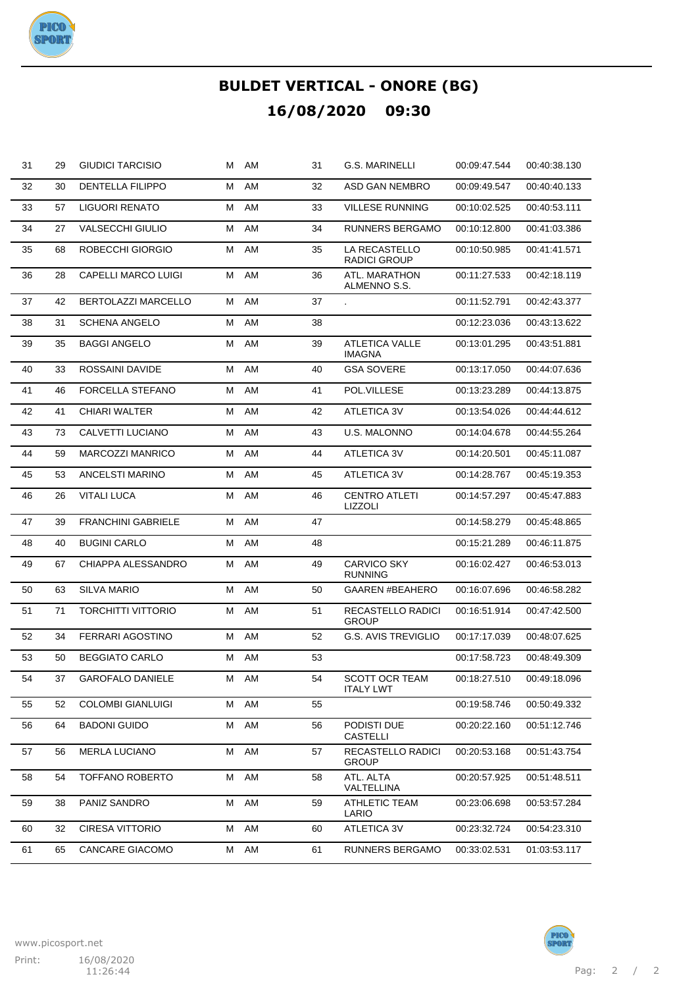

| 31 | 29 | <b>GIUDICI TARCISIO</b>    | м | AM | 31 | <b>G.S. MARINELLI</b>                     | 00:09:47.544 | 00:40:38.130 |
|----|----|----------------------------|---|----|----|-------------------------------------------|--------------|--------------|
| 32 | 30 | <b>DENTELLA FILIPPO</b>    | м | AM | 32 | ASD GAN NEMBRO                            | 00:09:49.547 | 00:40:40.133 |
| 33 | 57 | LIGUORI RENATO             | м | AM | 33 | <b>VILLESE RUNNING</b>                    | 00:10:02.525 | 00:40:53.111 |
| 34 | 27 | <b>VALSECCHI GIULIO</b>    | м | AM | 34 | RUNNERS BERGAMO                           | 00:10:12.800 | 00:41:03.386 |
| 35 | 68 | ROBECCHI GIORGIO           | м | AM | 35 | LA RECASTELLO<br>RADICI GROUP             | 00:10:50.985 | 00:41:41.571 |
| 36 | 28 | <b>CAPELLI MARCO LUIGI</b> | М | AM | 36 | ATL. MARATHON<br>ALMENNO S.S.             | 00:11:27.533 | 00:42:18.119 |
| 37 | 42 | BERTOLAZZI MARCELLO        | м | AM | 37 |                                           | 00:11:52.791 | 00:42:43.377 |
| 38 | 31 | <b>SCHENA ANGELO</b>       | м | AM | 38 |                                           | 00:12:23.036 | 00:43:13.622 |
| 39 | 35 | <b>BAGGI ANGELO</b>        | М | AM | 39 | <b>ATLETICA VALLE</b><br><b>IMAGNA</b>    | 00:13:01.295 | 00:43:51.881 |
| 40 | 33 | ROSSAINI DAVIDE            | м | AM | 40 | <b>GSA SOVERE</b>                         | 00:13:17.050 | 00:44:07.636 |
| 41 | 46 | FORCELLA STEFANO           | м | AM | 41 | POL.VILLESE                               | 00:13:23.289 | 00:44:13.875 |
| 42 | 41 | <b>CHIARI WALTER</b>       | м | AM | 42 | ATLETICA 3V                               | 00:13:54.026 | 00:44:44.612 |
| 43 | 73 | CALVETTI LUCIANO           | М | AM | 43 | <b>U.S. MALONNO</b>                       | 00:14:04.678 | 00:44:55.264 |
| 44 | 59 | <b>MARCOZZI MANRICO</b>    | м | AM | 44 | ATLETICA 3V                               | 00:14:20.501 | 00:45:11.087 |
| 45 | 53 | <b>ANCELSTI MARINO</b>     | м | AM | 45 | ATLETICA 3V                               | 00:14:28.767 | 00:45:19.353 |
| 46 | 26 | <b>VITALI LUCA</b>         | м | AM | 46 | <b>CENTRO ATLETI</b><br>LIZZOLI           | 00:14:57.297 | 00:45:47.883 |
| 47 | 39 | <b>FRANCHINI GABRIELE</b>  | м | AM | 47 |                                           | 00:14:58.279 | 00:45:48.865 |
| 48 | 40 | <b>BUGINI CARLO</b>        | М | AM | 48 |                                           | 00:15:21.289 | 00:46:11.875 |
| 49 | 67 | CHIAPPA ALESSANDRO         | М | AM | 49 | <b>CARVICO SKY</b><br><b>RUNNING</b>      | 00:16:02.427 | 00:46:53.013 |
| 50 | 63 | <b>SILVA MARIO</b>         | м | AM | 50 | <b>GAAREN #BEAHERO</b>                    | 00:16:07.696 | 00:46:58.282 |
| 51 | 71 | TORCHITTI VITTORIO         | м | AM | 51 | RECASTELLO RADICI<br><b>GROUP</b>         | 00:16:51.914 | 00:47:42.500 |
| 52 | 34 | FERRARI AGOSTINO           | м | AM | 52 | <b>G.S. AVIS TREVIGLIO</b>                | 00:17:17.039 | 00:48:07.625 |
| 53 | 50 | <b>BEGGIATO CARLO</b>      | м | AM | 53 |                                           | 00:17:58.723 | 00:48:49.309 |
| 54 | 37 | <b>GAROFALO DANIELE</b>    | м | AM | 54 | <b>SCOTT OCR TEAM</b><br><b>ITALY LWT</b> | 00:18:27.510 | 00:49:18.096 |
| 55 | 52 | <b>COLOMBI GIANLUIGI</b>   | М | AM | 55 |                                           | 00:19:58.746 | 00:50:49.332 |
| 56 | 64 | <b>BADONI GUIDO</b>        | Μ | AM | 56 | PODISTI DUE<br><b>CASTELLI</b>            | 00:20:22.160 | 00:51:12.746 |
| 57 | 56 | <b>MERLA LUCIANO</b>       | Μ | AM | 57 | RECASTELLO RADICI<br><b>GROUP</b>         | 00:20:53.168 | 00:51:43.754 |
| 58 | 54 | <b>TOFFANO ROBERTO</b>     | М | AM | 58 | ATL. ALTA<br>VALTELLINA                   | 00:20:57.925 | 00:51:48.511 |
| 59 | 38 | PANIZ SANDRO               | М | AM | 59 | <b>ATHLETIC TEAM</b><br>LARIO             | 00:23:06.698 | 00:53:57.284 |
| 60 | 32 | <b>CIRESA VITTORIO</b>     | М | AM | 60 | <b>ATLETICA 3V</b>                        | 00:23:32.724 | 00:54:23.310 |
| 61 | 65 | CANCARE GIACOMO            | Μ | AM | 61 | RUNNERS BERGAMO                           | 00:33:02.531 | 01:03:53.117 |